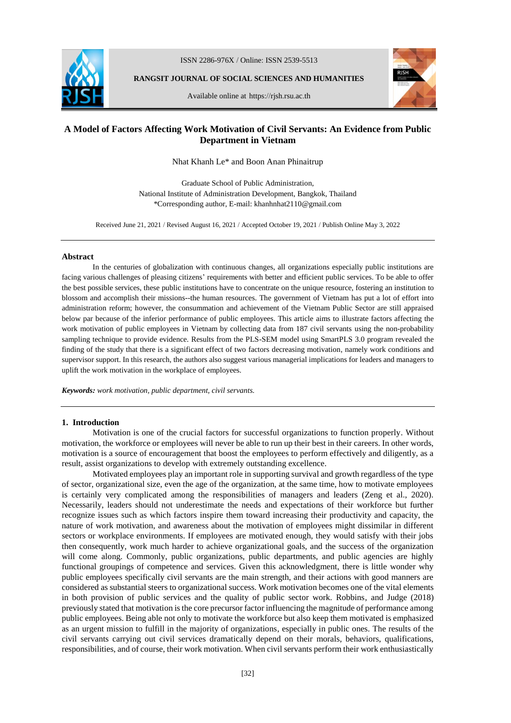

ISSN 2286-976X / Online: ISSN 2539-5513

**RANGSIT JOURNAL OF SOCIAL SCIENCES AND HUMANITIES**



Available online at https://rjsh.rsu.ac.th

# **A Model of Factors Affecting Work Motivation of Civil Servants: An Evidence from Public Department in Vietnam**

Nhat Khanh Le\* and Boon Anan Phinaitrup

Graduate School of Public Administration, National Institute of Administration Development, Bangkok, Thailand \*Corresponding author, E-mail: khanhnhat2110@gmail.com

Received June 21, 2021 / Revised August 16, 2021 / Accepted October 19, 2021 / Publish Online May 3, 2022

## **Abstract**

In the centuries of globalization with continuous changes, all organizations especially public institutions are facing various challenges of pleasing citizens' requirements with better and efficient public services. To be able to offer the best possible services, these public institutions have to concentrate on the unique resource, fostering an institution to blossom and accomplish their missions--the human resources. The government of Vietnam has put a lot of effort into administration reform; however, the consummation and achievement of the Vietnam Public Sector are still appraised below par because of the inferior performance of public employees. This article aims to illustrate factors affecting the work motivation of public employees in Vietnam by collecting data from 187 civil servants using the non-probability sampling technique to provide evidence. Results from the PLS-SEM model using SmartPLS 3.0 program revealed the finding of the study that there is a significant effect of two factors decreasing motivation, namely work conditions and supervisor support. In this research, the authors also suggest various managerial implications for leaders and managers to uplift the work motivation in the workplace of employees.

*Keywords: work motivation, public department, civil servants.*

## **1. Introduction**

Motivation is one of the crucial factors for successful organizations to function properly. Without motivation, the workforce or employees will never be able to run up their best in their careers. In other words, motivation is a source of encouragement that boost the employees to perform effectively and diligently, as a result, assist organizations to develop with extremely outstanding excellence.

Motivated employees play an important role in supporting survival and growth regardless of the type of sector, organizational size, even the age of the organization, at the same time, how to motivate employees is certainly very complicated among the responsibilities of managers and leaders (Zeng et al., 2020). Necessarily, leaders should not underestimate the needs and expectations of their workforce but further recognize issues such as which factors inspire them toward increasing their productivity and capacity, the nature of work motivation, and awareness about the motivation of employees might dissimilar in different sectors or workplace environments. If employees are motivated enough, they would satisfy with their jobs then consequently, work much harder to achieve organizational goals, and the success of the organization will come along. Commonly, public organizations, public departments, and public agencies are highly functional groupings of competence and services. Given this acknowledgment, there is little wonder why public employees specifically civil servants are the main strength, and their actions with good manners are considered as substantial steers to organizational success. Work motivation becomes one of the vital elements in both provision of public services and the quality of public sector work. Robbins, and Judge (2018) previously stated that motivation is the core precursor factor influencing the magnitude of performance among public employees. Being able not only to motivate the workforce but also keep them motivated is emphasized as an urgent mission to fulfill in the majority of organizations, especially in public ones. The results of the civil servants carrying out civil services dramatically depend on their morals, behaviors, qualifications, responsibilities, and of course, their work motivation. When civil servants perform their work enthusiastically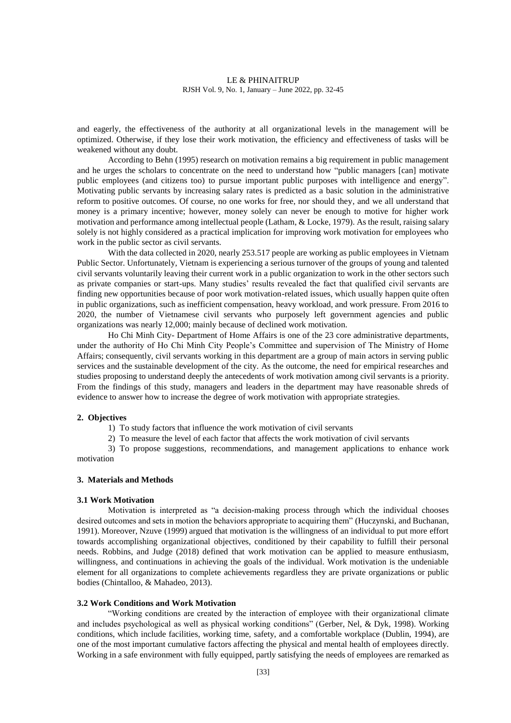and eagerly, the effectiveness of the authority at all organizational levels in the management will be optimized. Otherwise, if they lose their work motivation, the efficiency and effectiveness of tasks will be weakened without any doubt.

According to Behn (1995) research on motivation remains a big requirement in public management and he urges the scholars to concentrate on the need to understand how "public managers [can] motivate public employees (and citizens too) to pursue important public purposes with intelligence and energy". Motivating public servants by increasing salary rates is predicted as a basic solution in the administrative reform to positive outcomes. Of course, no one works for free, nor should they, and we all understand that money is a primary incentive; however, money solely can never be enough to motive for higher work motivation and performance among intellectual people (Latham, & Locke, 1979). As the result, raising salary solely is not highly considered as a practical implication for improving work motivation for employees who work in the public sector as civil servants.

With the data collected in 2020, nearly 253.517 people are working as public employees in Vietnam Public Sector. Unfortunately, Vietnam is experiencing a serious turnover of the groups of young and talented civil servants voluntarily leaving their current work in a public organization to work in the other sectors such as private companies or start-ups. Many studies' results revealed the fact that qualified civil servants are finding new opportunities because of poor work motivation-related issues, which usually happen quite often in public organizations, such as inefficient compensation, heavy workload, and work pressure. From 2016 to 2020, the number of Vietnamese civil servants who purposely left government agencies and public organizations was nearly 12,000; mainly because of declined work motivation.

Ho Chi Minh City- Department of Home Affairs is one of the 23 core administrative departments, under the authority of Ho Chi Minh City People's Committee and supervision of The Ministry of Home Affairs; consequently, civil servants working in this department are a group of main actors in serving public services and the sustainable development of the city. As the outcome, the need for empirical researches and studies proposing to understand deeply the antecedents of work motivation among civil servants is a priority. From the findings of this study, managers and leaders in the department may have reasonable shreds of evidence to answer how to increase the degree of work motivation with appropriate strategies.

#### **2. Objectives**

- 1) To study factors that influence the work motivation of civil servants
- 2) To measure the level of each factor that affects the work motivation of civil servants

3) To propose suggestions, recommendations, and management applications to enhance work motivation

### **3. Materials and Methods**

#### **3.1 Work Motivation**

Motivation is interpreted as "a decision-making process through which the individual chooses desired outcomes and sets in motion the behaviors appropriate to acquiring them" (Huczynski, and Buchanan, 1991). Moreover, Nzuve (1999) argued that motivation is the willingness of an individual to put more effort towards accomplishing organizational objectives, conditioned by their capability to fulfill their personal needs. Robbins, and Judge (2018) defined that work motivation can be applied to measure enthusiasm, willingness, and continuations in achieving the goals of the individual. Work motivation is the undeniable element for all organizations to complete achievements regardless they are private organizations or public bodies (Chintalloo, & Mahadeo, 2013).

#### **3.2 Work Conditions and Work Motivation**

"Working conditions are created by the interaction of employee with their organizational climate and includes psychological as well as physical working conditions" (Gerber, Nel, & Dyk, 1998). Working conditions, which include facilities, working time, safety, and a comfortable workplace (Dublin, 1994), are one of the most important cumulative factors affecting the physical and mental health of employees directly. Working in a safe environment with fully equipped, partly satisfying the needs of employees are remarked as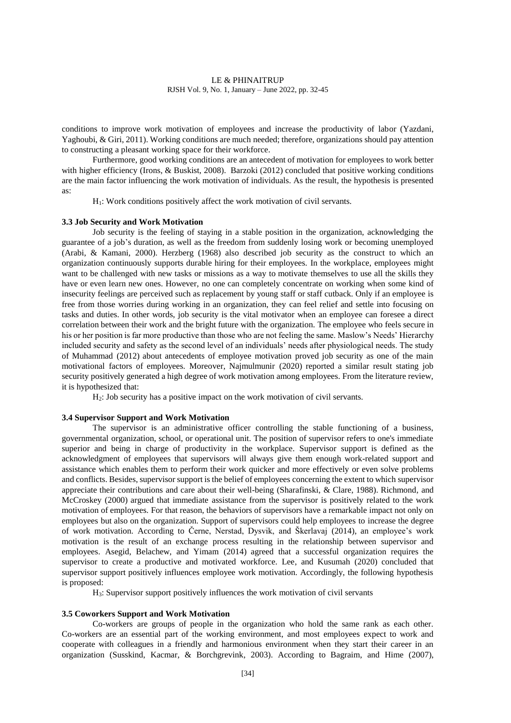conditions to improve work motivation of employees and increase the productivity of labor (Yazdani, Yaghoubi, & Giri, 2011). Working conditions are much needed; therefore, organizations should pay attention to constructing a pleasant working space for their workforce.

Furthermore, good working conditions are an antecedent of motivation for employees to work better with higher efficiency (Irons, & Buskist, 2008). Barzoki (2012) concluded that positive working conditions are the main factor influencing the work motivation of individuals. As the result, the hypothesis is presented as:

H1: Work conditions positively affect the work motivation of civil servants.

#### **3.3 Job Security and Work Motivation**

Job security is the feeling of staying in a stable position in the organization, acknowledging the guarantee of a job's duration, as well as the freedom from suddenly losing work or becoming unemployed (Arabi, & Kamani, 2000). Herzberg (1968) also described job security as the construct to which an organization continuously supports durable hiring for their employees. In the workplace, employees might want to be challenged with new tasks or missions as a way to motivate themselves to use all the skills they have or even learn new ones. However, no one can completely concentrate on working when some kind of insecurity feelings are perceived such as replacement by young staff or staff cutback. Only if an employee is free from those worries during working in an organization, they can feel relief and settle into focusing on tasks and duties. In other words, job security is the vital motivator when an employee can foresee a direct correlation between their work and the bright future with the organization. The employee who feels secure in his or her position is far more productive than those who are not feeling the same. Maslow's Needs' Hierarchy included security and safety as the second level of an individuals' needs after physiological needs. The study of Muhammad (2012) about antecedents of employee motivation proved job security as one of the main motivational factors of employees. Moreover, Najmulmunir (2020) reported a similar result stating job security positively generated a high degree of work motivation among employees. From the literature review, it is hypothesized that:

H2: Job security has a positive impact on the work motivation of civil servants.

#### **3.4 Supervisor Support and Work Motivation**

The supervisor is an administrative officer controlling the stable functioning of a business, governmental organization, school, or operational unit. The position of supervisor refers to one's immediate superior and being in charge of productivity in the workplace. Supervisor support is defined as the acknowledgment of employees that supervisors will always give them enough work-related support and assistance which enables them to perform their work quicker and more effectively or even solve problems and conflicts. Besides, supervisor support is the belief of employees concerning the extent to which supervisor appreciate their contributions and care about their well-being (Sharafinski, & Clare, 1988). Richmond, and McCroskey (2000) argued that immediate assistance from the supervisor is positively related to the work motivation of employees. For that reason, the behaviors of supervisors have a remarkable impact not only on employees but also on the organization. Support of supervisors could help employees to increase the degree of work motivation. According to Černe, Nerstad, Dysvik, and Škerlavaj (2014), an employee's work motivation is the result of an exchange process resulting in the relationship between supervisor and employees. Asegid, Belachew, and Yimam (2014) agreed that a successful organization requires the supervisor to create a productive and motivated workforce. Lee, and Kusumah (2020) concluded that supervisor support positively influences employee work motivation. Accordingly, the following hypothesis is proposed:

H3: Supervisor support positively influences the work motivation of civil servants

#### **3.5 Coworkers Support and Work Motivation**

Co-workers are groups of people in the organization who hold the same rank as each other. Co-workers are an essential part of the working environment, and most employees expect to work and cooperate with colleagues in a friendly and harmonious environment when they start their career in an organization (Susskind, Kacmar, & Borchgrevink, 2003). According to Bagraim, and Hime (2007),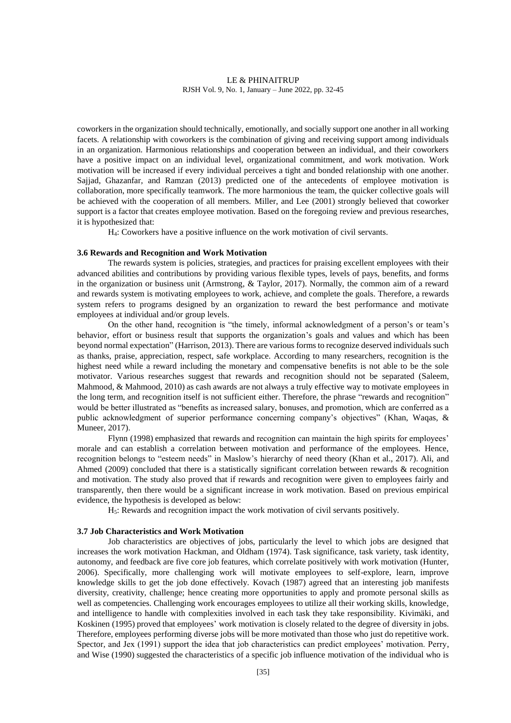coworkers in the organization should technically, emotionally, and socially support one another in all working facets. A relationship with coworkers is the combination of giving and receiving support among individuals in an organization. Harmonious relationships and cooperation between an individual, and their coworkers have a positive impact on an individual level, organizational commitment, and work motivation. Work motivation will be increased if every individual perceives a tight and bonded relationship with one another. Sajjad, Ghazanfar, and Ramzan (2013) predicted one of the antecedents of employee motivation is collaboration, more specifically teamwork. The more harmonious the team, the quicker collective goals will be achieved with the cooperation of all members. Miller, and Lee (2001) strongly believed that coworker support is a factor that creates employee motivation. Based on the foregoing review and previous researches, it is hypothesized that:

H4: Coworkers have a positive influence on the work motivation of civil servants.

#### **3.6 Rewards and Recognition and Work Motivation**

The rewards system is policies, strategies, and practices for praising excellent employees with their advanced abilities and contributions by providing various flexible types, levels of pays, benefits, and forms in the organization or business unit (Armstrong, & Taylor, 2017). Normally, the common aim of a reward and rewards system is motivating employees to work, achieve, and complete the goals. Therefore, a rewards system refers to programs designed by an organization to reward the best performance and motivate employees at individual and/or group levels.

On the other hand, recognition is "the timely, informal acknowledgment of a person's or team's behavior, effort or business result that supports the organization's goals and values and which has been beyond normal expectation" (Harrison, 2013). There are various forms to recognize deserved individuals such as thanks, praise, appreciation, respect, safe workplace. According to many researchers, recognition is the highest need while a reward including the monetary and compensative benefits is not able to be the sole motivator. Various researches suggest that rewards and recognition should not be separated (Saleem, Mahmood, & Mahmood, 2010) as cash awards are not always a truly effective way to motivate employees in the long term, and recognition itself is not sufficient either. Therefore, the phrase "rewards and recognition" would be better illustrated as "benefits as increased salary, bonuses, and promotion, which are conferred as a public acknowledgment of superior performance concerning company's objectives" (Khan, Waqas, & Muneer, 2017).

Flynn (1998) emphasized that rewards and recognition can maintain the high spirits for employees' morale and can establish a correlation between motivation and performance of the employees. Hence, recognition belongs to "esteem needs" in Maslow's hierarchy of need theory (Khan et al., 2017). Ali, and Ahmed (2009) concluded that there is a statistically significant correlation between rewards & recognition and motivation. The study also proved that if rewards and recognition were given to employees fairly and transparently, then there would be a significant increase in work motivation. Based on previous empirical evidence, the hypothesis is developed as below:

H5: Rewards and recognition impact the work motivation of civil servants positively.

### **3.7 Job Characteristics and Work Motivation**

Job characteristics are objectives of jobs, particularly the level to which jobs are designed that increases the work motivation Hackman, and Oldham (1974). Task significance, task variety, task identity, autonomy, and feedback are five core job features, which correlate positively with work motivation (Hunter, 2006). Specifically, more challenging work will motivate employees to self-explore, learn, improve knowledge skills to get the job done effectively. Kovach (1987) agreed that an interesting job manifests diversity, creativity, challenge; hence creating more opportunities to apply and promote personal skills as well as competencies. Challenging work encourages employees to utilize all their working skills, knowledge, and intelligence to handle with complexities involved in each task they take responsibility. Kivimäki, and Koskinen (1995) proved that employees' work motivation is closely related to the degree of diversity in jobs. Therefore, employees performing diverse jobs will be more motivated than those who just do repetitive work. Spector, and Jex (1991) support the idea that job characteristics can predict employees' motivation. Perry, and Wise (1990) suggested the characteristics of a specific job influence motivation of the individual who is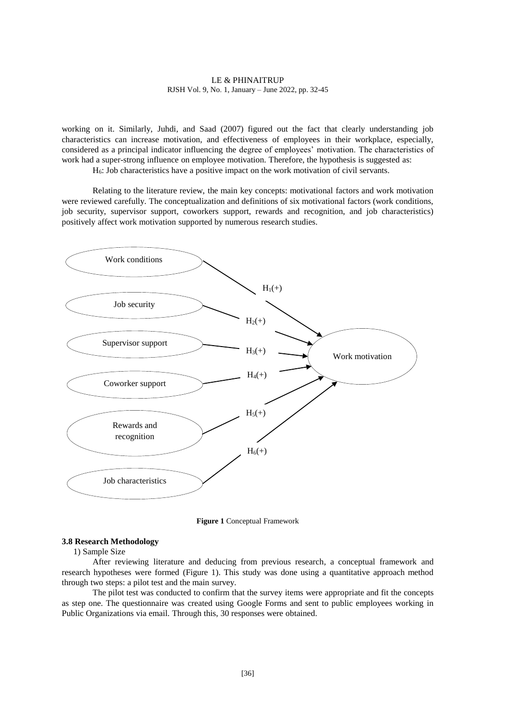working on it. Similarly, Juhdi, and Saad (2007) figured out the fact that clearly understanding job characteristics can increase motivation, and effectiveness of employees in their workplace, especially, considered as a principal indicator influencing the degree of employees' motivation. The characteristics of work had a super-strong influence on employee motivation. Therefore, the hypothesis is suggested as:

H<sub>6</sub>: Job characteristics have a positive impact on the work motivation of civil servants.

Relating to the literature review, the main key concepts: motivational factors and work motivation were reviewed carefully. The conceptualization and definitions of six motivational factors (work conditions, job security, supervisor support, coworkers support, rewards and recognition, and job characteristics) positively affect work motivation supported by numerous research studies.



**Figure 1** Conceptual Framework

#### **3.8 Research Methodology**

1) Sample Size

After reviewing literature and deducing from previous research, a conceptual framework and research hypotheses were formed (Figure 1). This study was done using a quantitative approach method through two steps: a pilot test and the main survey.

The pilot test was conducted to confirm that the survey items were appropriate and fit the concepts as step one. The questionnaire was created using Google Forms and sent to public employees working in Public Organizations via email. Through this, 30 responses were obtained.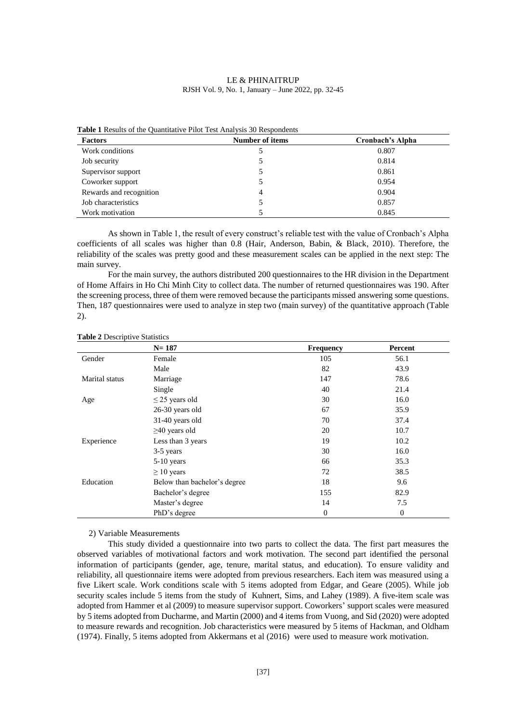| <b>Factors</b>          | Number of items | Cronbach's Alpha |
|-------------------------|-----------------|------------------|
| Work conditions         |                 | 0.807            |
| Job security            |                 | 0.814            |
| Supervisor support      |                 | 0.861            |
| Coworker support        |                 | 0.954            |
| Rewards and recognition | 4               | 0.904            |
| Job characteristics     |                 | 0.857            |
| Work motivation         |                 | 0.845            |

**Table 1** Results of the Quantitative Pilot Test Analysis 30 Respondents

As shown in Table 1, the result of every construct's reliable test with the value of Cronbach's Alpha coefficients of all scales was higher than 0.8 (Hair, Anderson, Babin, & Black, 2010). Therefore, the reliability of the scales was pretty good and these measurement scales can be applied in the next step: The main survey.

For the main survey, the authors distributed 200 questionnaires to the HR division in the Department of Home Affairs in Ho Chi Minh City to collect data. The number of returned questionnaires was 190. After the screening process, three of them were removed because the participants missed answering some questions. Then, 187 questionnaires were used to analyze in step two (main survey) of the quantitative approach (Table 2).

|                | $N = 187$                    | <b>Frequency</b> | Percent      |
|----------------|------------------------------|------------------|--------------|
| Gender         | Female                       | 105              | 56.1         |
|                | Male                         | 82               | 43.9         |
| Marital status | Marriage                     | 147              | 78.6         |
|                | Single                       | 40               | 21.4         |
| Age            | $\leq$ 25 years old          | 30               | 16.0         |
|                | 26-30 years old              | 67               | 35.9         |
|                | $31-40$ years old            | 70               | 37.4         |
|                | $\geq$ 40 years old          | 20               | 10.7         |
| Experience     | Less than 3 years            | 19               | 10.2         |
|                | 3-5 years                    | 30               | 16.0         |
|                | 5-10 years                   | 66               | 35.3         |
|                | $\geq 10$ years              | 72               | 38.5         |
| Education      | Below than bachelor's degree | 18               | 9.6          |
|                | Bachelor's degree            | 155              | 82.9         |
|                | Master's degree              | 14               | 7.5          |
|                | PhD's degree                 | $\overline{0}$   | $\mathbf{0}$ |

#### **Table 2** Descriptive Statistics

#### 2) Variable Measurements

This study divided a questionnaire into two parts to collect the data. The first part measures the observed variables of motivational factors and work motivation. The second part identified the personal information of participants (gender, age, tenure, marital status, and education). To ensure validity and reliability, all questionnaire items were adopted from previous researchers. Each item was measured using a five Likert scale. Work conditions scale with 5 items adopted from Edgar, and Geare (2005). While job security scales include 5 items from the study of Kuhnert, Sims, and Lahey (1989). A five-item scale was adopted from Hammer et al (2009) to measure supervisor support. Coworkers' support scales were measured by 5 items adopted from Ducharme, and Martin (2000) and 4 items from Vuong, and Sid (2020) were adopted to measure rewards and recognition. Job characteristics were measured by 5 items of Hackman, and Oldham (1974). Finally, 5 items adopted from Akkermans et al (2016) were used to measure work motivation.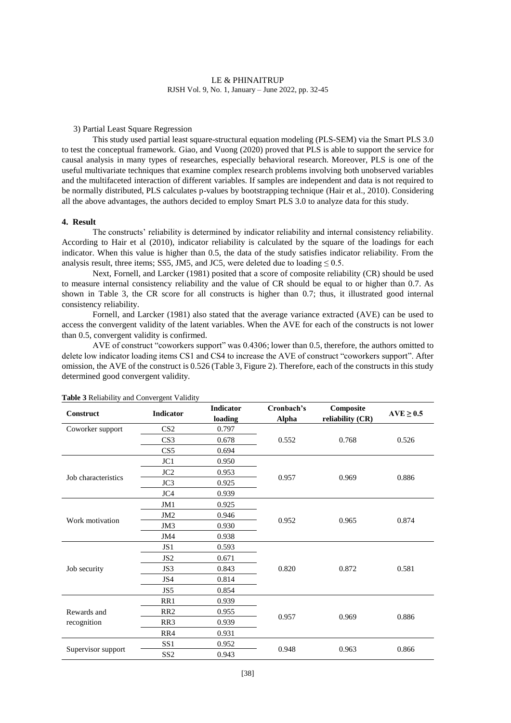#### 3) Partial Least Square Regression

This study used partial least square-structural equation modeling (PLS-SEM) via the Smart PLS 3.0 to test the conceptual framework. Giao, and Vuong (2020) proved that PLS is able to support the service for causal analysis in many types of researches, especially behavioral research. Moreover, PLS is one of the useful multivariate techniques that examine complex research problems involving both unobserved variables and the multifaceted interaction of different variables. If samples are independent and data is not required to be normally distributed, PLS calculates p-values by bootstrapping technique (Hair et al., 2010). Considering all the above advantages, the authors decided to employ Smart PLS 3.0 to analyze data for this study.

### **4. Result**

The constructs' reliability is determined by indicator reliability and internal consistency reliability. According to Hair et al (2010), indicator reliability is calculated by the square of the loadings for each indicator. When this value is higher than 0.5, the data of the study satisfies indicator reliability. From the analysis result, three items; SS5, JM5, and JC5, were deleted due to loading  $\leq 0.5$ .

Next, Fornell, and Larcker (1981) posited that a score of composite reliability (CR) should be used to measure internal consistency reliability and the value of CR should be equal to or higher than 0.7. As shown in Table 3, the CR score for all constructs is higher than 0.7; thus, it illustrated good internal consistency reliability.

Fornell, and Larcker (1981) also stated that the average variance extracted (AVE) can be used to access the convergent validity of the latent variables. When the AVE for each of the constructs is not lower than 0.5, convergent validity is confirmed.

AVE of construct "coworkers support" was 0.4306; lower than 0.5, therefore, the authors omitted to delete low indicator loading items CS1 and CS4 to increase the AVE of construct "coworkers support". After omission, the AVE of the construct is 0.526 (Table 3, Figure 2). Therefore, each of the constructs in this study determined good convergent validity.

| Construct           | <b>Indicator</b>         | <b>Indicator</b><br>loading | Cronbach's<br><b>Alpha</b> | Composite<br>reliability (CR) | $AVE \geq 0.5$ |
|---------------------|--------------------------|-----------------------------|----------------------------|-------------------------------|----------------|
| Coworker support    | CS <sub>2</sub>          | 0.797                       |                            |                               |                |
|                     | CS <sub>3</sub>          | 0.678                       | 0.552                      | 0.768                         | 0.526          |
|                     | CS5                      | 0.694                       |                            |                               |                |
|                     | JC1                      | 0.950                       |                            |                               |                |
|                     | JC <sub>2</sub>          | 0.953                       |                            |                               |                |
| Job characteristics | JC3                      | 0.925                       | 0.957                      | 0.969                         | 0.886          |
|                     | JC4                      | 0.939                       |                            |                               |                |
|                     | JM1                      | 0.925                       |                            |                               |                |
|                     | JM <sub>2</sub>          | 0.946                       | 0.965                      |                               | 0.874          |
| Work motivation     | 0.930<br>JM <sub>3</sub> | 0.952                       |                            |                               |                |
|                     | JM4                      | 0.938                       |                            |                               |                |
|                     | JS1                      | 0.593                       |                            |                               |                |
|                     | JS <sub>2</sub>          | 0.671                       |                            |                               |                |
| Job security        | JS3                      | 0.843                       | 0.820                      | 0.872                         | 0.581          |
|                     | JS4                      | 0.814                       |                            |                               |                |
|                     | JS5                      | 0.854                       |                            |                               |                |
|                     | RR1                      | 0.939                       |                            |                               |                |
| Rewards and         | RR <sub>2</sub>          | 0.955                       |                            | 0.969                         |                |
| recognition         | RR <sub>3</sub>          | 0.939                       | 0.957                      |                               | 0.886          |
|                     | RR4                      | 0.931                       |                            |                               |                |
|                     | SS <sub>1</sub>          | 0.952                       |                            |                               |                |
| Supervisor support  | SS <sub>2</sub><br>0.943 |                             | 0.948                      | 0.963                         | 0.866          |

**Table 3** Reliability and Convergent Validity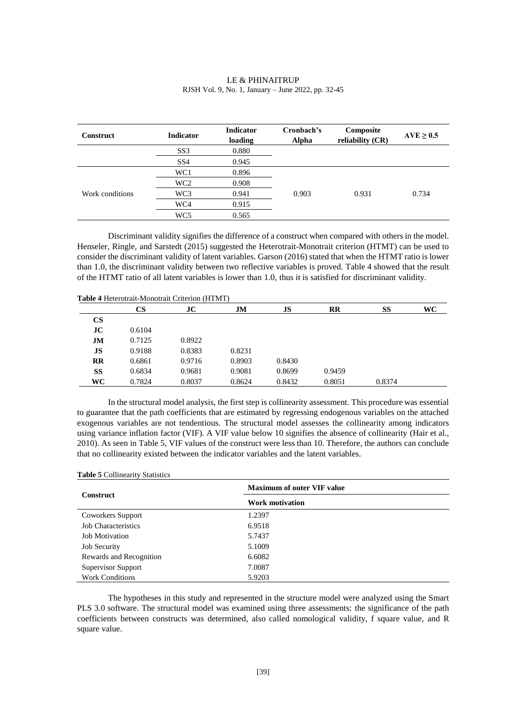| LE & PHINAITRUP                                    |
|----------------------------------------------------|
| RJSH Vol. 9, No. 1, January – June 2022, pp. 32-45 |

| <b>Construct</b> | <b>Indicator</b> | <b>Indicator</b><br>loading | Cronbach's<br><b>Alpha</b> | Composite<br>reliability (CR) | $AVE \geq 0.5$ |
|------------------|------------------|-----------------------------|----------------------------|-------------------------------|----------------|
|                  | SS <sub>3</sub>  | 0.880                       |                            |                               |                |
|                  | SS <sub>4</sub>  | 0.945                       |                            |                               |                |
|                  | WC1              | 0.896                       |                            |                               |                |
|                  | WC <sub>2</sub>  | 0.908                       |                            |                               |                |
| Work conditions  | WC3              | 0.941                       | 0.903                      | 0.931                         | 0.734          |
|                  | WC4              | 0.915                       |                            |                               |                |
|                  | WC <sub>5</sub>  | 0.565                       |                            |                               |                |

Discriminant validity signifies the difference of a construct when compared with others in the model. Henseler, Ringle, and Sarstedt (2015) suggested the Heterotrait-Monotrait criterion (HTMT) can be used to consider the discriminant validity of latent variables. Garson (2016) stated that when the HTMT ratio is lower than 1.0, the discriminant validity between two reflective variables is proved. Table 4 showed that the result of the HTMT ratio of all latent variables is lower than 1.0, thus it is satisfied for discriminant validity.

|                        | CS     | JC     | JM     | JS     | $\mathbf{R}$ | SS     | WC |
|------------------------|--------|--------|--------|--------|--------------|--------|----|
| $\mathbf{C}\mathbf{S}$ |        |        |        |        |              |        |    |
| JC                     | 0.6104 |        |        |        |              |        |    |
| JM                     | 0.7125 | 0.8922 |        |        |              |        |    |
| JS                     | 0.9188 | 0.8383 | 0.8231 |        |              |        |    |
| $\mathbf{R}$           | 0.6861 | 0.9716 | 0.8903 | 0.8430 |              |        |    |
| SS                     | 0.6834 | 0.9681 | 0.9081 | 0.8699 | 0.9459       |        |    |
| WC                     | 0.7824 | 0.8037 | 0.8624 | 0.8432 | 0.8051       | 0.8374 |    |

**Table 4** Heterotrait-Monotrait Criterion (HTMT)

In the structural model analysis, the first step is collinearity assessment. This procedure was essential to guarantee that the path coefficients that are estimated by regressing endogenous variables on the attached exogenous variables are not tendentious. The structural model assesses the collinearity among indicators using variance inflation factor (VIF). A VIF value below 10 signifies the absence of collinearity (Hair et al., 2010). As seen in Table 5, VIF values of the construct were less than 10. Therefore, the authors can conclude that no collinearity existed between the indicator variables and the latent variables.

#### **Table 5** Collinearity Statistics

|                         | <b>Maximum of outer VIF value</b> |  |
|-------------------------|-----------------------------------|--|
| <b>Construct</b>        | <b>Work motivation</b>            |  |
| Coworkers Support       | 1.2397                            |  |
| Job Characteristics     | 6.9518                            |  |
| <b>Job Motivation</b>   | 5.7437                            |  |
| <b>Job Security</b>     | 5.1009                            |  |
| Rewards and Recognition | 6.6082                            |  |
| Supervisor Support      | 7.0087                            |  |
| <b>Work Conditions</b>  | 5.9203                            |  |

The hypotheses in this study and represented in the structure model were analyzed using the Smart PLS 3.0 software. The structural model was examined using three assessments: the significance of the path coefficients between constructs was determined, also called nomological validity, f square value, and R square value.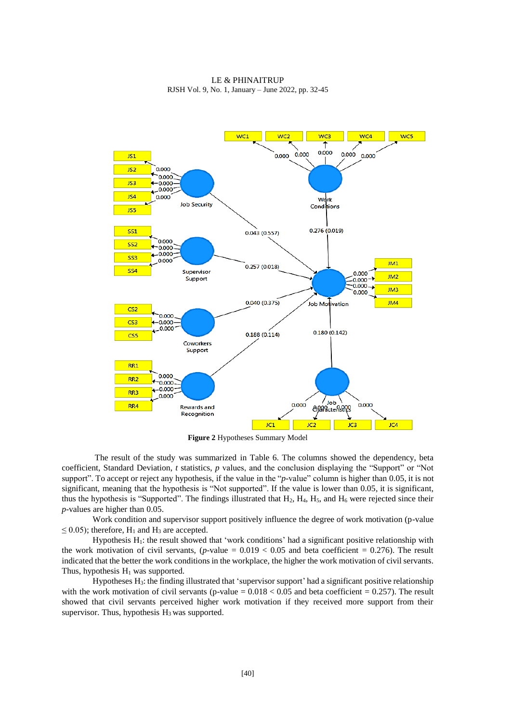

LE & PHINAITRUP RJSH Vol. 9, No. 1, January – June 2022, pp. 32-45

**Figure 2** Hypotheses Summary Model

The result of the study was summarized in Table 6. The columns showed the dependency, beta coefficient, Standard Deviation, *t* statistics, *p* values, and the conclusion displaying the "Support" or "Not support". To accept or reject any hypothesis, if the value in the "*p*-value" column is higher than 0.05, it is not significant, meaning that the hypothesis is "Not supported". If the value is lower than 0.05, it is significant, thus the hypothesis is "Supported". The findings illustrated that  $H_2$ ,  $H_4$ ,  $H_5$ , and  $H_6$  were rejected since their *p*-values are higher than 0.05.

Work condition and supervisor support positively influence the degree of work motivation (p-value  $\leq$  0.05); therefore, H<sub>1</sub> and H<sub>3</sub> are accepted.

Hypothesis  $H_1$ : the result showed that 'work conditions' had a significant positive relationship with the work motivation of civil servants,  $(p$ -value =  $0.019 < 0.05$  and beta coefficient = 0.276). The result indicated that the better the work conditions in the workplace, the higher the work motivation of civil servants. Thus, hypothesis  $H_1$  was supported.

Hypotheses  $H_3$ : the finding illustrated that 'supervisor support' had a significant positive relationship with the work motivation of civil servants (p-value =  $0.018 < 0.05$  and beta coefficient = 0.257). The result showed that civil servants perceived higher work motivation if they received more support from their supervisor. Thus, hypothesis  $H_3$  was supported.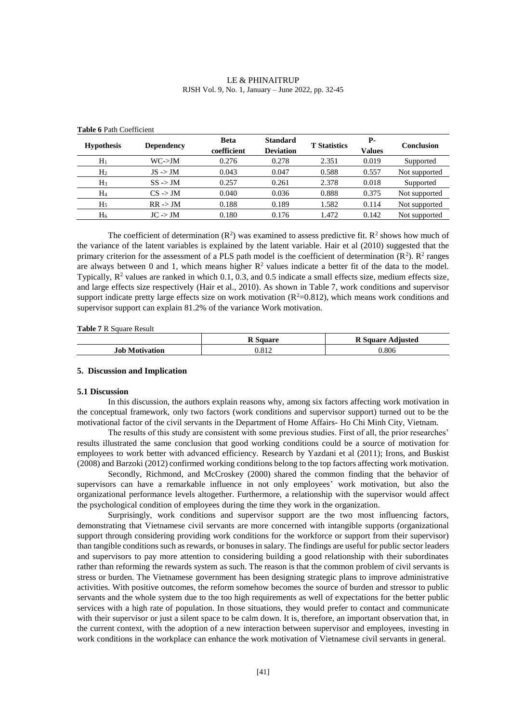| LE & PHINAITRUP                                    |  |  |  |  |
|----------------------------------------------------|--|--|--|--|
| RJSH Vol. 9, No. 1, January – June 2022, pp. 32-45 |  |  |  |  |

| <b>Hypothesis</b> | <b>Dependency</b>   | <b>Beta</b><br>coefficient | <b>Standard</b><br><b>Deviation</b> | <b>T</b> Statistics | р.<br>Values | Conclusion    |
|-------------------|---------------------|----------------------------|-------------------------------------|---------------------|--------------|---------------|
| $H_1$             | $WC$ ->JM           | 0.276                      | 0.278                               | 2.351               | 0.019        | Supported     |
| H <sub>2</sub>    | $JS \rightarrow JM$ | 0.043                      | 0.047                               | 0.588               | 0.557        | Not supported |
| $H_3$             | $SS \rightarrow JM$ | 0.257                      | 0.261                               | 2.378               | 0.018        | Supported     |
| $H_4$             | $CS \rightarrow JM$ | 0.040                      | 0.036                               | 0.888               | 0.375        | Not supported |
| H5                | $RR \rightarrow JM$ | 0.188                      | 0.189                               | 1.582               | 0.114        | Not supported |
| H <sub>6</sub>    | $JC \rightarrow JM$ | 0.180                      | 0.176                               | 1.472               | 0.142        | Not supported |

#### **Table 6** Path Coefficient

The coefficient of determination  $(R^2)$  was examined to assess predictive fit.  $R^2$  shows how much of the variance of the latent variables is explained by the latent variable. Hair et al (2010) suggested that the primary criterion for the assessment of a PLS path model is the coefficient of determination  $(R^2)$ .  $R^2$  ranges are always between 0 and 1, which means higher  $R^2$  values indicate a better fit of the data to the model. Typically,  $\mathbb{R}^2$  values are ranked in which 0.1, 0.3, and 0.5 indicate a small effects size, medium effects size, and large effects size respectively (Hair et al., 2010). As shown in Table 7, work conditions and supervisor support indicate pretty large effects size on work motivation  $(R^2=0.812)$ , which means work conditions and supervisor support can explain 81.2% of the variance Work motivation.

**Table 7** R Square Result

|                       | Square | <b>R</b> Square Adjusted |
|-----------------------|--------|--------------------------|
| <b>Job Motivation</b> | 0.812  | 0.806                    |

### **5. Discussion and Implication**

#### **5.1 Discussion**

In this discussion, the authors explain reasons why, among six factors affecting work motivation in the conceptual framework, only two factors (work conditions and supervisor support) turned out to be the motivational factor of the civil servants in the Department of Home Affairs- Ho Chi Minh City, Vietnam.

The results of this study are consistent with some previous studies. First of all, the prior researches' results illustrated the same conclusion that good working conditions could be a source of motivation for employees to work better with advanced efficiency. Research by Yazdani et al (2011); Irons, and Buskist (2008) and Barzoki (2012) confirmed working conditions belong to the top factors affecting work motivation.

Secondly, Richmond, and McCroskey (2000) shared the common finding that the behavior of supervisors can have a remarkable influence in not only employees' work motivation, but also the organizational performance levels altogether. Furthermore, a relationship with the supervisor would affect the psychological condition of employees during the time they work in the organization.

Surprisingly, work conditions and supervisor support are the two most influencing factors, demonstrating that Vietnamese civil servants are more concerned with intangible supports (organizational support through considering providing work conditions for the workforce or support from their supervisor) than tangible conditions such as rewards, or bonuses in salary. The findings are useful for public sector leaders and supervisors to pay more attention to considering building a good relationship with their subordinates rather than reforming the rewards system as such. The reason is that the common problem of civil servants is stress or burden. The Vietnamese government has been designing strategic plans to improve administrative activities. With positive outcomes, the reform somehow becomes the source of burden and stressor to public servants and the whole system due to the too high requirements as well of expectations for the better public services with a high rate of population. In those situations, they would prefer to contact and communicate with their supervisor or just a silent space to be calm down. It is, therefore, an important observation that, in the current context, with the adoption of a new interaction between supervisor and employees, investing in work conditions in the workplace can enhance the work motivation of Vietnamese civil servants in general.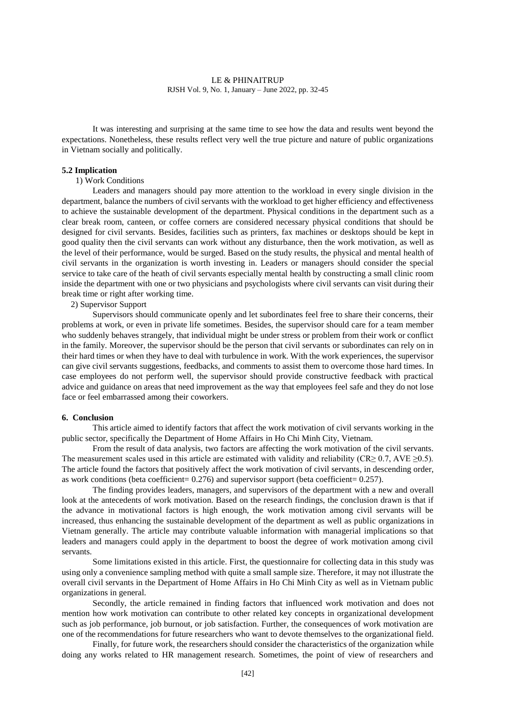It was interesting and surprising at the same time to see how the data and results went beyond the expectations. Nonetheless, these results reflect very well the true picture and nature of public organizations in Vietnam socially and politically.

#### **5.2 Implication**

#### 1) Work Conditions

Leaders and managers should pay more attention to the workload in every single division in the department, balance the numbers of civil servants with the workload to get higher efficiency and effectiveness to achieve the sustainable development of the department. Physical conditions in the department such as a clear break room, canteen, or coffee corners are considered necessary physical conditions that should be designed for civil servants. Besides, facilities such as printers, fax machines or desktops should be kept in good quality then the civil servants can work without any disturbance, then the work motivation, as well as the level of their performance, would be surged. Based on the study results, the physical and mental health of civil servants in the organization is worth investing in. Leaders or managers should consider the special service to take care of the heath of civil servants especially mental health by constructing a small clinic room inside the department with one or two physicians and psychologists where civil servants can visit during their break time or right after working time.

2) Supervisor Support

Supervisors should communicate openly and let subordinates feel free to share their concerns, their problems at work, or even in private life sometimes. Besides, the supervisor should care for a team member who suddenly behaves strangely, that individual might be under stress or problem from their work or conflict in the family. Moreover, the supervisor should be the person that civil servants or subordinates can rely on in their hard times or when they have to deal with turbulence in work. With the work experiences, the supervisor can give civil servants suggestions, feedbacks, and comments to assist them to overcome those hard times. In case employees do not perform well, the supervisor should provide constructive feedback with practical advice and guidance on areas that need improvement as the way that employees feel safe and they do not lose face or feel embarrassed among their coworkers.

#### **6. Conclusion**

This article aimed to identify factors that affect the work motivation of civil servants working in the public sector, specifically the Department of Home Affairs in Ho Chi Minh City, Vietnam.

From the result of data analysis, two factors are affecting the work motivation of the civil servants. The measurement scales used in this article are estimated with validity and reliability (CR≥ 0.7, AVE ≥0.5). The article found the factors that positively affect the work motivation of civil servants, in descending order, as work conditions (beta coefficient= 0.276) and supervisor support (beta coefficient= 0.257).

The finding provides leaders, managers, and supervisors of the department with a new and overall look at the antecedents of work motivation. Based on the research findings, the conclusion drawn is that if the advance in motivational factors is high enough, the work motivation among civil servants will be increased, thus enhancing the sustainable development of the department as well as public organizations in Vietnam generally. The article may contribute valuable information with managerial implications so that leaders and managers could apply in the department to boost the degree of work motivation among civil servants.

Some limitations existed in this article. First, the questionnaire for collecting data in this study was using only a convenience sampling method with quite a small sample size. Therefore, it may not illustrate the overall civil servants in the Department of Home Affairs in Ho Chi Minh City as well as in Vietnam public organizations in general.

Secondly, the article remained in finding factors that influenced work motivation and does not mention how work motivation can contribute to other related key concepts in organizational development such as job performance, job burnout, or job satisfaction. Further, the consequences of work motivation are one of the recommendations for future researchers who want to devote themselves to the organizational field.

Finally, for future work, the researchers should consider the characteristics of the organization while doing any works related to HR management research. Sometimes, the point of view of researchers and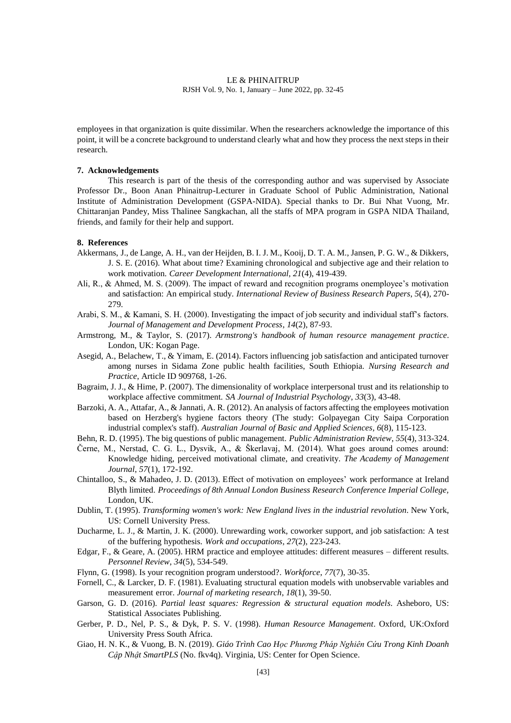employees in that organization is quite dissimilar. When the researchers acknowledge the importance of this point, it will be a concrete background to understand clearly what and how they process the next steps in their research.

#### **7. Acknowledgements**

This research is part of the thesis of the corresponding author and was supervised by Associate Professor Dr., Boon Anan Phinaitrup-Lecturer in Graduate School of Public Administration, National Institute of Administration Development (GSPA-NIDA). Special thanks to Dr. Bui Nhat Vuong, Mr. Chittaranjan Pandey, Miss Thalinee Sangkachan, all the staffs of MPA program in GSPA NIDA Thailand, friends, and family for their help and support.

## **8. References**

- Akkermans, J., de Lange, A. H., van der Heijden, B. I. J. M., Kooij, D. T. A. M., Jansen, P. G. W., & Dikkers, J. S. E. (2016). What about time? Examining chronological and subjective age and their relation to work motivation. *Career Development International*, *21*(4), 419-439.
- Ali, R., & Ahmed, M. S. (2009). The impact of reward and recognition programs onemployee's motivation and satisfaction: An empirical study. *International Review of Business Research Papers*, *5*(4), 270- 279.
- Arabi, S. M., & Kamani, S. H. (2000). Investigating the impact of job security and individual staff's factors. *Journal of Management and Development Process*, *14*(2), 87-93.
- Armstrong, M., & Taylor, S. (2017). *Armstrong's handbook of human resource management practice*. London, UK: Kogan Page.
- Asegid, A., Belachew, T., & Yimam, E. (2014). Factors influencing job satisfaction and anticipated turnover among nurses in Sidama Zone public health facilities, South Ethiopia. *Nursing Research and Practice*, Article ID 909768, 1-26.
- Bagraim, J. J., & Hime, P. (2007). The dimensionality of workplace interpersonal trust and its relationship to workplace affective commitment. *SA Journal of Industrial Psychology*, *33*(3), 43-48.
- Barzoki, A. A., Attafar, A., & Jannati, A. R. (2012). An analysis of factors affecting the employees motivation based on Herzberg's hygiene factors theory (The study: Golpayegan City Saipa Corporation industrial complex's staff). *Australian Journal of Basic and Applied Sciences*, *6*(8), 115-123.
- Behn, R. D. (1995). The big questions of public management. *Public Administration Review*, *55*(4), 313-324.
- Černe, M., Nerstad, C. G. L., Dysvik, A., & Škerlavaj, M. (2014). What goes around comes around: Knowledge hiding, perceived motivational climate, and creativity. *The Academy of Management Journal*, *57*(1), 172-192.
- Chintalloo, S., & Mahadeo, J. D. (2013). Effect of motivation on employees' work performance at Ireland Blyth limited. *Proceedings of 8th Annual London Business Research Conference Imperial College,*  London, UK.
- Dublin, T. (1995). *Transforming women's work: New England lives in the industrial revolution*. New York, US: Cornell University Press.
- Ducharme, L. J., & Martin, J. K. (2000). Unrewarding work, coworker support, and job satisfaction: A test of the buffering hypothesis. *Work and occupations*, *27*(2), 223-243.
- Edgar, F., & Geare, A. (2005). HRM practice and employee attitudes: different measures different results. *Personnel Review*, *34*(5), 534-549.
- Flynn, G. (1998). Is your recognition program understood?. *Workforce*, *77*(7), 30-35.
- Fornell, C., & Larcker, D. F. (1981). Evaluating structural equation models with unobservable variables and measurement error. *Journal of marketing research*, *18*(1), 39-50.
- Garson, G. D. (2016). *Partial least squares: Regression & structural equation models*. Asheboro, US: Statistical Associates Publishing.
- Gerber, P. D., Nel, P. S., & Dyk, P. S. V. (1998). *Human Resource Management*. Oxford, UK:Oxford University Press South Africa.
- Giao, H. N. K., & Vuong, B. N. (2019). *Giáo Trình Cao Học Phương Pháp Nghiên Cứu Trong Kinh Doanh Cập Nhật SmartPLS* (No. fkv4q). Virginia, US: Center for Open Science.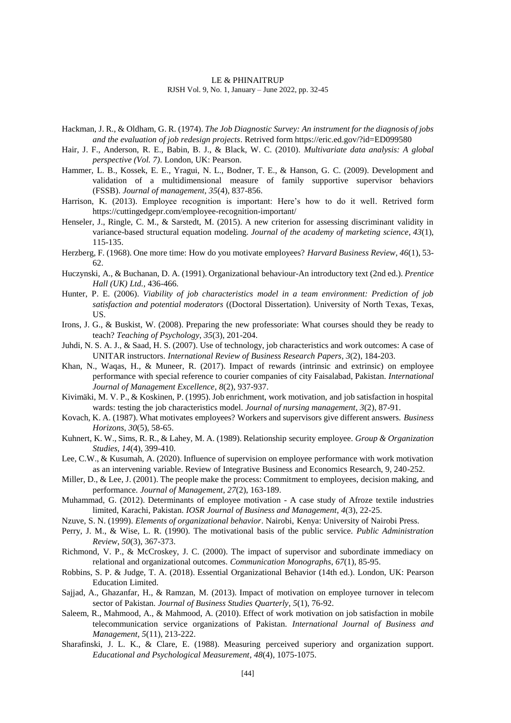- Hackman, J. R., & Oldham, G. R. (1974). *The Job Diagnostic Survey: An instrument for the diagnosis of jobs and the evaluation of job redesign projects*. Retrived form https://eric.ed.gov/?id=ED099580
- Hair, J. F., Anderson, R. E., Babin, B. J., & Black, W. C. (2010). *Multivariate data analysis: A global perspective (Vol. 7)*. London, UK: Pearson.
- Hammer, L. B., Kossek, E. E., Yragui, N. L., Bodner, T. E., & Hanson, G. C. (2009). Development and validation of a multidimensional measure of family supportive supervisor behaviors (FSSB). *Journal of management*, *35*(4), 837-856.
- Harrison, K. (2013). Employee recognition is important: Here's how to do it well. Retrived form https://cuttingedgepr.com/employee-recognition-important/
- Henseler, J., Ringle, C. M., & Sarstedt, M. (2015). A new criterion for assessing discriminant validity in variance-based structural equation modeling. *Journal of the academy of marketing science*, *43*(1), 115-135.
- Herzberg, F. (1968). One more time: How do you motivate employees? *Harvard Business Review*, *46*(1), 53- 62.
- Huczynski, A., & Buchanan, D. A. (1991). Organizational behaviour-An introductory text (2nd ed.). *Prentice Hall (UK) Ltd.*, 436-466.
- Hunter, P. E. (2006). *Viability of job characteristics model in a team environment: Prediction of job satisfaction and potential moderators* ((Doctoral Dissertation)*.* University of North Texas, Texas, US.
- Irons, J. G., & Buskist, W. (2008). Preparing the new professoriate: What courses should they be ready to teach? *Teaching of Psychology*, *35*(3), 201-204.
- Juhdi, N. S. A. J., & Saad, H. S. (2007). Use of technology, job characteristics and work outcomes: A case of UNITAR instructors. *International Review of Business Research Papers*, *3*(2), 184-203.
- Khan, N., Waqas, H., & Muneer, R. (2017). Impact of rewards (intrinsic and extrinsic) on employee performance with special reference to courier companies of city Faisalabad, Pakistan. *International Journal of Management Excellence*, *8*(2), 937-937.
- Kivimäki, M. V. P., & Koskinen, P. (1995). Job enrichment, work motivation, and job satisfaction in hospital wards: testing the job characteristics model. *Journal of nursing management*, *3*(2), 87-91.
- Kovach, K. A. (1987). What motivates employees? Workers and supervisors give different answers. *Business Horizons*, *30*(5), 58-65.
- Kuhnert, K. W., Sims, R. R., & Lahey, M. A. (1989). Relationship security employee. *Group & Organization Studies*, *14*(4), 399-410.
- Lee, C.W., & Kusumah, A. (2020). Influence of supervision on employee performance with work motivation as an intervening variable. Review of Integrative Business and Economics Research, 9, 240-252.
- Miller, D., & Lee, J. (2001). The people make the process: Commitment to employees, decision making, and performance. *Journal of Management*, *27*(2), 163-189.
- Muhammad, G. (2012). Determinants of employee motivation A case study of Afroze textile industries limited, Karachi, Pakistan. *IOSR Journal of Business and Management*, *4*(3), 22-25.
- Nzuve, S. N. (1999). *Elements of organizational behavior*. Nairobi, Kenya: University of Nairobi Press.
- Perry, J. M., & Wise, L. R. (1990). The motivational basis of the public service. *Public Administration Review*, *50*(3), 367-373.
- Richmond, V. P., & McCroskey, J. C. (2000). The impact of supervisor and subordinate immediacy on relational and organizational outcomes. *Communication Monographs*, *67*(1), 85-95.
- Robbins, S. P. & Judge, T. A. (2018). Essential Organizational Behavior (14th ed.). London, UK: Pearson Education Limited.
- Sajjad, A., Ghazanfar, H., & Ramzan, M. (2013). Impact of motivation on employee turnover in telecom sector of Pakistan. *Journal of Business Studies Quarterly*, *5*(1), 76-92.
- Saleem, R., Mahmood, A., & Mahmood, A. (2010). Effect of work motivation on job satisfaction in mobile telecommunication service organizations of Pakistan. *International Journal of Business and Management*, *5*(11), 213-222.
- Sharafinski, J. L. K., & Clare, E. (1988). Measuring perceived superiory and organization support. *Educational and Psychological Measurement*, *48*(4), 1075-1075.